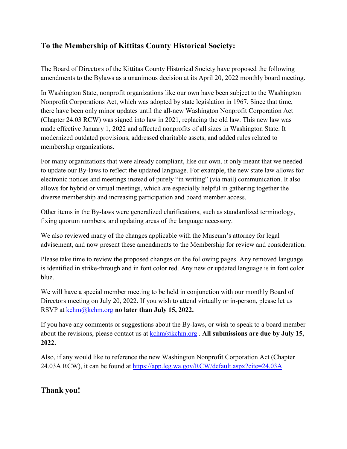## **To the Membership of Kittitas County Historical Society:**

The Board of Directors of the Kittitas County Historical Society have proposed the following amendments to the Bylaws as a unanimous decision at its April 20, 2022 monthly board meeting.

In Washington State, nonprofit organizations like our own have been subject to the Washington Nonprofit Corporations Act, which was adopted by state legislation in 1967. Since that time, there have been only minor updates until the all-new Washington Nonprofit Corporation Act (Chapter 24.03 RCW) was signed into law in 2021, replacing the old law. This new law was made effective January 1, 2022 and affected nonprofits of all sizes in Washington State. It modernized outdated provisions, addressed charitable assets, and added rules related to membership organizations.

For many organizations that were already compliant, like our own, it only meant that we needed to update our By-laws to reflect the updated language. For example, the new state law allows for electronic notices and meetings instead of purely "in writing" (via mail) communication. It also allows for hybrid or virtual meetings, which are especially helpful in gathering together the diverse membership and increasing participation and board member access.

Other items in the By-laws were generalized clarifications, such as standardized terminology, fixing quorum numbers, and updating areas of the language necessary.

We also reviewed many of the changes applicable with the Museum's attorney for legal advisement, and now present these amendments to the Membership for review and consideration.

Please take time to review the proposed changes on the following pages. Any removed language is identified in strike-through and in font color red. Any new or updated language is in font color blue.

We will have a special member meeting to be held in conjunction with our monthly Board of Directors meeting on July 20, 2022. If you wish to attend virtually or in-person, please let us RSVP at [kchm@kchm.org](mailto:kchm@kchm.org) **no later than July 15, 2022.**

If you have any comments or suggestions about the By-laws, or wish to speak to a board member about the revisions, please contact us at  $\frac{\text{kchm}(a)\text{kchm.org}}{\text{cm}(a)\text{kchm.org}}$ . All submissions are due by July 15, **2022.**

Also, if any would like to reference the new Washington Nonprofit Corporation Act (Chapter 24.03A RCW), it can be found at <https://app.leg.wa.gov/RCW/default.aspx?cite=24.03A>

**Thank you!**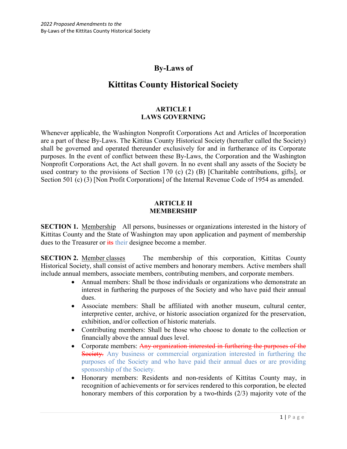## **By-Laws of**

# **Kittitas County Historical Society**

### **ARTICLE I LAWS GOVERNING**

Whenever applicable, the Washington Nonprofit Corporations Act and Articles of Incorporation are a part of these By-Laws. The Kittitas County Historical Society (hereafter called the Society) shall be governed and operated thereunder exclusively for and in furtherance of its Corporate purposes. In the event of conflict between these By-Laws, the Corporation and the Washington Nonprofit Corporations Act, the Act shall govern. In no event shall any assets of the Society be used contrary to the provisions of Section 170 (c) (2) (B) [Charitable contributions, gifts], or Section 501 (c) (3) [Non Profit Corporations] of the Internal Revenue Code of 1954 as amended.

### **ARTICLE II MEMBERSHIP**

**SECTION 1.** Membership All persons, businesses or organizations interested in the history of Kittitas County and the State of Washington may upon application and payment of membership dues to the Treasurer or its their designee become a member.

**SECTION 2.** Member classes The membership of this corporation, Kittitas County Historical Society, shall consist of active members and honorary members. Active members shall include annual members, associate members, contributing members, and corporate members.

- Annual members: Shall be those individuals or organizations who demonstrate an interest in furthering the purposes of the Society and who have paid their annual dues.
- Associate members: Shall be affiliated with another museum, cultural center, interpretive center, archive, or historic association organized for the preservation, exhibition, and/or collection of historic materials.
- Contributing members: Shall be those who choose to donate to the collection or financially above the annual dues level.
- Corporate members: Any organization interested in furthering the purposes of the Society. Any business or commercial organization interested in furthering the purposes of the Society and who have paid their annual dues or are providing sponsorship of the Society.
- Honorary members: Residents and non-residents of Kittitas County may, in recognition of achievements or for services rendered to this corporation, be elected honorary members of this corporation by a two**-**thirds (2/3) majority vote of the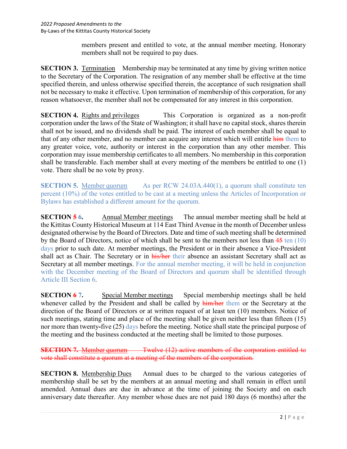members present and entitled to vote, at the annual member meeting. Honorary members shall not be required to pay dues.

**SECTION 3.** Termination Membership may be terminated at any time by giving written notice to the Secretary of the Corporation. The resignation of any member shall be effective at the time specified therein, and unless otherwise specified therein, the acceptance of such resignation shall not be necessary to make it effective. Upon termination of membership of this corporation, for any reason whatsoever, the member shall not be compensated for any interest in this corporation.

**SECTION 4.** Rights and privileges This Corporation is organized as a non-profit corporation under the laws of the State of Washington; it shall have no capital stock, shares therein shall not be issued, and no dividends shall be paid. The interest of each member shall be equal to that of any other member, and no member can acquire any interest which will entitle him them to any greater voice, vote, authority or interest in the corporation than any other member. This corporation may issue membership certificates to all members. No membership in this corporation shall be transferable. Each member shall at every meeting of the members be entitled to one (1) vote. There shall be no vote by proxy.

**SECTION 5.** Member quorum As per RCW 24.03A.440(1), a quorum shall constitute ten percent (10%) of the votes entitled to be cast at a meeting unless the Articles of Incorporation or Bylaws has established a different amount for the quorum.

**SECTION 5 6.** Annual Member meetings The annual member meeting shall be held at the Kittitas County Historical Museum at 114 East Third Avenue in the month of December unless designated otherwise by the Board of Directors. Date and time of such meeting shall be determined by the Board of Directors, notice of which shall be sent to the members not less than 45 ten (10) days prior to such date. At member meetings, the President or in their absence a Vice-President shall act as Chair. The Secretary or in **his/her** their absence an assistant Secretary shall act as Secretary at all member meetings. For the annual member meeting, it will be held in conjunction with the December meeting of the Board of Directors and quorum shall be identified through Article III Section 6.

**SECTION 6** 7. Special Member meetings Special membership meetings shall be held whenever called by the President and shall be called by  $\frac{him/her}{hcm}$  them or the Secretary at the direction of the Board of Directors or at written request of at least ten (10) members. Notice of such meetings, stating time and place of the meeting shall be given neither less than fifteen (15) nor more than twenty**-**five (25) days before the meeting. Notice shall state the principal purpose of the meeting and the business conducted at the meeting shall be limited to those purposes.

**SECTION 7.** Member quorum Twelve (12) active members of the corporation entitled to vote shall constitute a quorum at a meeting of the members of the corporation.

**SECTION 8.** Membership Dues Annual dues to be charged to the various categories of membership shall be set by the members at an annual meeting and shall remain in effect until amended. Annual dues are due in advance at the time of joining the Society and on each anniversary date thereafter. Any member whose dues are not paid 180 days (6 months) after the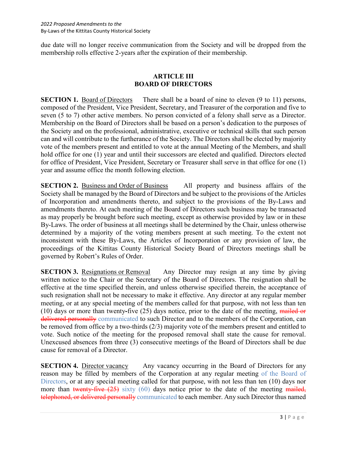due date will no longer receive communication from the Society and will be dropped from the membership rolls effective 2-years after the expiration of their membership.

## **ARTICLE III BOARD OF DIRECTORS**

**SECTION 1.** Board of Directors There shall be a board of nine to eleven (9 to 11) persons, composed of the President, Vice President, Secretary, and Treasurer of the corporation and five to seven (5 to 7) other active members. No person convicted of a felony shall serve as a Director. Membership on the Board of Directors shall be based on a person's dedication to the purposes of the Society and on the professional, administrative, executive or technical skills that such person can and will contribute to the furtherance of the Society. The Directors shall be elected by majority vote of the members present and entitled to vote at the annual Meeting of the Members, and shall hold office for one (1) year and until their successors are elected and qualified. Directors elected for office of President, Vice President, Secretary or Treasurer shall serve in that office for one (1) year and assume office the month following election.

**SECTION 2.** Business and Order of Business All property and business affairs of the Society shall be managed by the Board of Directors and be subject to the provisions of the Articles of Incorporation and amendments thereto, and subject to the provisions of the By-Laws and amendments thereto. At each meeting of the Board of Directors such business may be transacted as may properly be brought before such meeting, except as otherwise provided by law or in these By-Laws. The order of business at all meetings shall be determined by the Chair, unless otherwise determined by a majority of the voting members present at such meeting. To the extent not inconsistent with these By-Laws, the Articles of Incorporation or any provision of law, the proceedings of the Kittitas County Historical Society Board of Directors meetings shall be governed by Robert's Rules of Order.

**SECTION 3.** Resignations or Removal Any Director may resign at any time by giving written notice to the Chair or the Secretary of the Board of Directors. The resignation shall be effective at the time specified therein, and unless otherwise specified therein, the acceptance of such resignation shall not be necessary to make it effective. Any director at any regular member meeting, or at any special meeting of the members called for that purpose, with not less than ten (10) days or more than twenty**-**five (25) days notice, prior to the date of the meeting, mailed or delivered personally communicated to such Director and to the members of the Corporation, can be removed from office by a two-thirds (2/3) majority vote of the members present and entitled to vote. Such notice of the meeting for the proposed removal shall state the cause for removal. Unexcused absences from three (3) consecutive meetings of the Board of Directors shall be due cause for removal of a Director.

**SECTION 4.** Director vacancy Any vacancy occurring in the Board of Directors for any reason may be filled by members of the Corporation at any regular meeting of the Board of Directors, or at any special meeting called for that purpose, with not less than ten (10) days nor more than twenty-five  $(25)$  sixty  $(60)$  days notice prior to the date of the meeting mailed, telephoned, or delivered personally communicated to each member. Any such Director thus named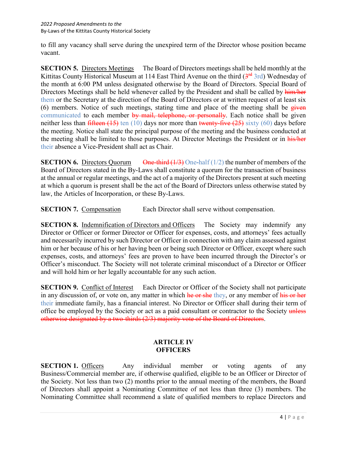to fill any vacancy shall serve during the unexpired term of the Director whose position became vacant.

**SECTION 5.** Directors Meetings The Board of Directors meetings shall be held monthly at the Kittitas County Historical Museum at 114 East Third Avenue on the third  $(3<sup>rd</sup> 3rd)$  Wednesday of the month at 6:00 PM unless designated otherwise by the Board of Directors. Special Board of Directors Meetings shall be held whenever called by the President and shall be called by him/her them or the Secretary at the direction of the Board of Directors or at written request of at least six (6) members. Notice of such meetings, stating time and place of the meeting shall be  $g$ iven communicated to each member by mail, telephone, or personally. Each notice shall be given neither less than  $fifteen (15)$  ten (10) days nor more than twenty-five  $(25)$  sixty (60) days before the meeting. Notice shall state the principal purpose of the meeting and the business conducted at the meeting shall be limited to those purposes. At Director Meetings the President or in his/her their absence a Vice-President shall act as Chair.

**SECTION 6.** Directors Quorum One-third  $(1/3)$  One-half  $(1/2)$  the number of members of the Board of Directors stated in the By-Laws shall constitute a quorum for the transaction of business at the annual or regular meetings, and the act of a majority of the Directors present at such meeting at which a quorum is present shall be the act of the Board of Directors unless otherwise stated by law, the Articles of Incorporation, or these By-Laws.

**SECTION 7.** Compensation Each Director shall serve without compensation.

**SECTION 8.** Indemnification of Directors and Officers The Society may indemnify any Director or Officer or former Director or Officer for expenses, costs, and attorneys' fees actually and necessarily incurred by such Director or Officer in connection with any claim assessed against him or her because of his or her having been or being such Director or Officer, except where such expenses, costs, and attorneys' fees are proven to have been incurred through the Director's or Officer's misconduct. The Society will not tolerate criminal misconduct of a Director or Officer and will hold him or her legally accountable for any such action.

**SECTION 9.** Conflict of Interest Each Director or Officer of the Society shall not participate in any discussion of, or vote on, any matter in which he or she they, or any member of his or her their immediate family, has a financial interest. No Director or Officer shall during their term of office be employed by the Society or act as a paid consultant or contractor to the Society unless otherwise designated by a two-thirds (2/3) majority vote of the Board of Directors.

### **ARTICLE IV OFFICERS**

**SECTION 1.** Officers Any individual member or voting agents of any Business/Commercial member are, if otherwise qualified, eligible to be an Officer or Director of the Society. Not less than two (2) months prior to the annual meeting of the members, the Board of Directors shall appoint a Nominating Committee of not less than three (3) members. The Nominating Committee shall recommend a slate of qualified members to replace Directors and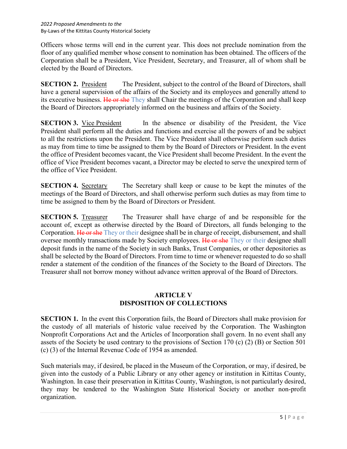Officers whose terms will end in the current year. This does not preclude nomination from the floor of any qualified member whose consent to nomination has been obtained. The officers of the Corporation shall be a President, Vice President, Secretary, and Treasurer, all of whom shall be elected by the Board of Directors.

**SECTION 2.** President The President, subject to the control of the Board of Directors, shall have a general supervision of the affairs of the Society and its employees and generally attend to its executive business. He or she They shall Chair the meetings of the Corporation and shall keep the Board of Directors appropriately informed on the business and affairs of the Society.

**SECTION 3.** Vice President In the absence or disability of the President, the Vice President shall perform all the duties and functions and exercise all the powers of and be subject to all the restrictions upon the President. The Vice President shall otherwise perform such duties as may from time to time be assigned to them by the Board of Directors or President. In the event the office of President becomes vacant, the Vice President shall become President. In the event the office of Vice President becomes vacant, a Director may be elected to serve the unexpired term of the office of Vice President.

**SECTION 4.** Secretary The Secretary shall keep or cause to be kept the minutes of the meetings of the Board of Directors, and shall otherwise perform such duties as may from time to time be assigned to them by the Board of Directors or President.

**SECTION 5.** Treasurer The Treasurer shall have charge of and be responsible for the account of, except as otherwise directed by the Board of Directors, all funds belonging to the Corporation. He or she They or their designee shall be in charge of receipt, disbursement, and shall oversee monthly transactions made by Society employees. He or she They or their designee shall deposit funds in the name of the Society in such Banks, Trust Companies, or other depositories as shall be selected by the Board of Directors. From time to time or whenever requested to do so shall render a statement of the condition of the finances of the Society to the Board of Directors. The Treasurer shall not borrow money without advance written approval of the Board of Directors.

## **ARTICLE V DISPOSITION OF COLLECTIONS**

**SECTION 1.** In the event this Corporation fails, the Board of Directors shall make provision for the custody of all materials of historic value received by the Corporation. The Washington Nonprofit Corporations Act and the Articles of Incorporation shall govern. In no event shall any assets of the Society be used contrary to the provisions of Section 170 (c) (2) (B) or Section 501 (c) (3) of the Internal Revenue Code of 1954 as amended.

Such materials may, if desired, be placed in the Museum of the Corporation, or may, if desired, be given into the custody of a Public Library or any other agency or institution in Kittitas County, Washington. In case their preservation in Kittitas County, Washington, is not particularly desired, they may be tendered to the Washington State Historical Society or another non-profit organization.